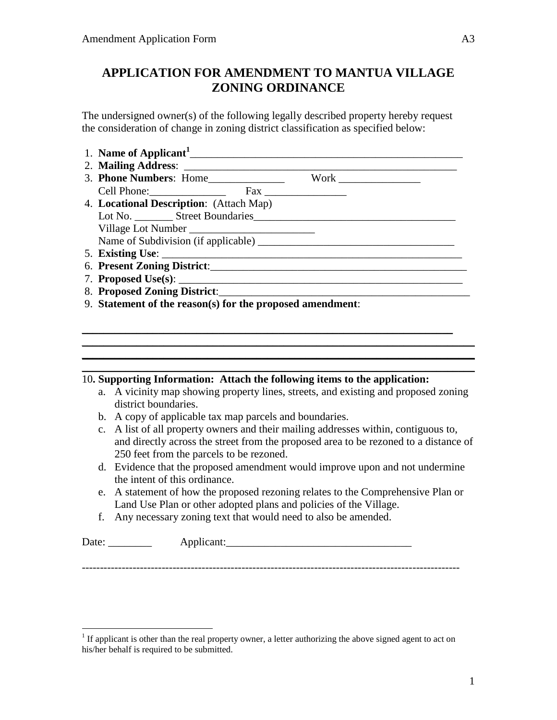## **APPLICATION FOR AMENDMENT TO MANTUA VILLAGE ZONING ORDINANCE**

The undersigned owner(s) of the following legally described property hereby request the consideration of change in zoning district classification as specified below:

- 1. **Name of Applicant<sup>1</sup>** \_\_\_\_\_\_\_\_\_\_\_\_\_\_\_\_\_\_\_\_\_\_\_\_\_\_\_\_\_\_\_\_\_\_\_\_\_\_\_\_\_\_\_\_\_\_\_\_\_\_
- 2. **Mailing Address**: \_\_\_\_\_\_\_\_\_\_\_\_\_\_\_\_\_\_\_\_\_\_\_\_\_\_\_\_\_\_\_\_\_\_\_\_\_\_\_\_\_\_\_\_\_\_\_\_\_\_
- 3. **Phone Numbers**: Home\_\_\_\_\_\_\_\_\_\_\_\_\_\_ Work \_\_\_\_\_\_\_\_\_\_\_\_\_\_\_ Cell Phone:\_\_\_\_\_\_\_\_\_\_\_\_\_\_ Fax \_\_\_\_\_\_\_\_\_\_\_\_\_\_\_
- 4. **Locational Description**: (Attach Map) Lot No. \_\_\_\_\_\_\_ Street Boundaries\_\_\_\_\_\_\_\_\_\_\_\_\_\_\_\_\_\_\_\_\_\_\_\_\_\_\_\_\_\_\_\_\_\_\_\_\_ Village Lot Number Name of Subdivision (if applicable)
- 5. **Existing Use**: \_\_\_\_\_\_\_\_\_\_\_\_\_\_\_\_\_\_\_\_\_\_\_\_\_\_\_\_\_\_\_\_\_\_\_\_\_\_\_\_\_\_\_\_\_\_\_\_\_\_\_\_\_\_\_
- 6. **Present Zoning District**:\_\_\_\_\_\_\_\_\_\_\_\_\_\_\_\_\_\_\_\_\_\_\_\_\_\_\_\_\_\_\_\_\_\_\_\_\_\_\_\_\_\_\_\_\_\_\_
- 7. **Proposed Use(s)**: \_\_\_\_\_\_\_\_\_\_\_\_\_\_\_\_\_\_\_\_\_\_\_\_\_\_\_\_\_\_\_\_\_\_\_\_\_\_\_\_\_\_\_\_\_\_\_\_\_\_\_\_
- 8. **Proposed Zoning District**:
- 9. **Statement of the reason(s) for the proposed amendment**:

## 10**. Supporting Information: Attach the following items to the application:**

a. A vicinity map showing property lines, streets, and existing and proposed zoning district boundaries.

\_\_\_\_\_\_\_\_\_\_\_\_\_\_\_\_\_\_\_\_\_\_\_\_\_\_\_\_\_\_\_\_\_\_\_\_\_\_\_\_\_\_\_\_\_\_\_\_\_\_\_\_\_\_\_\_\_\_\_\_\_\_\_\_\_\_\_\_  $\_$  , and the set of the set of the set of the set of the set of the set of the set of the set of the set of the set of the set of the set of the set of the set of the set of the set of the set of the set of the set of th  $\mathcal{L}_\text{max}$  and  $\mathcal{L}_\text{max}$  and  $\mathcal{L}_\text{max}$  and  $\mathcal{L}_\text{max}$  and  $\mathcal{L}_\text{max}$  and  $\mathcal{L}_\text{max}$  $\_$  , and the set of the set of the set of the set of the set of the set of the set of the set of the set of the set of the set of the set of the set of the set of the set of the set of the set of the set of the set of th

- b. A copy of applicable tax map parcels and boundaries.
- c. A list of all property owners and their mailing addresses within, contiguous to, and directly across the street from the proposed area to be rezoned to a distance of 250 feet from the parcels to be rezoned.
- d. Evidence that the proposed amendment would improve upon and not undermine the intent of this ordinance.
- e. A statement of how the proposed rezoning relates to the Comprehensive Plan or Land Use Plan or other adopted plans and policies of the Village.
- f. Any necessary zoning text that would need to also be amended.

| $\mathbf{\bar{r}}$<br>Date: | $\sim$ $\sim$ $\sim$ $\sim$ |  |
|-----------------------------|-----------------------------|--|
|                             | - -                         |  |

--------------------------------------------------------------------------------------------------------

<sup>&</sup>lt;sup>1</sup> If applicant is other than the real property owner, a letter authorizing the above signed agent to act on his/her behalf is required to be submitted.